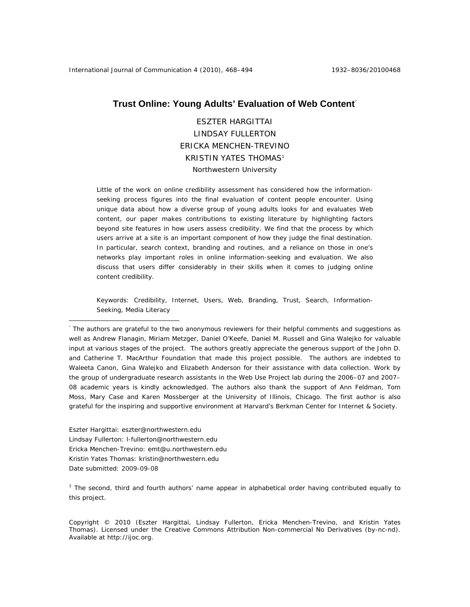# **Trust Online: Young Adults' Evaluation of Web Content**°

ESZTER HARGITTAI LINDSAY FULLERTON ERICKA MENCHEN-TREVINO KRISTIN YATES THOMAS1 Northwestern University

Little of the work on online credibility assessment has considered how the informationseeking process figures into the final evaluation of content people encounter. Using unique data about how a diverse group of young adults looks for and evaluates Web content, our paper makes contributions to existing literature by highlighting factors beyond site features in how users assess credibility. We find that the process by which users arrive at a site is an important component of how they judge the final destination. In particular, search context, branding and routines, and a reliance on those in one's networks play important roles in online information-seeking and evaluation. We also discuss that users differ considerably in their skills when it comes to judging online content credibility.

Keywords: Credibility, Internet, Users, Web, Branding, Trust, Search, Information-Seeking, Media Literacy

Eszter Hargittai: eszter@northwestern.edu Lindsay Fullerton: l-fullerton@northwestern.edu Ericka Menchen-Trevino: emt@u.northwestern.edu Kristin Yates Thomas: kristin@northwestern.edu Date submitted: 2009-09-08

 $\overline{a}$ 

<sup>1</sup> The second, third and fourth authors' name appear in alphabetical order having contributed equally to this project.

Copyright © 2010 (Eszter Hargittai, Lindsay Fullerton, Ericka Menchen-Trevino, and Kristin Yates Thomas). Licensed under the Creative Commons Attribution Non-commercial No Derivatives (by-nc-nd). Available at http://ijoc.org.

<sup>°</sup> The authors are grateful to the two anonymous reviewers for their helpful comments and suggestions as well as Andrew Flanagin, Miriam Metzger, Daniel O'Keefe, Daniel M. Russell and Gina Walejko for valuable input at various stages of the project. The authors greatly appreciate the generous support of the John D. and Catherine T. MacArthur Foundation that made this project possible. The authors are indebted to Waleeta Canon, Gina Walejko and Elizabeth Anderson for their assistance with data collection. Work by the group of undergraduate research assistants in the Web Use Project lab during the 2006–07 and 2007– 08 academic years is kindly acknowledged. The authors also thank the support of Ann Feldman, Tom Moss, Mary Case and Karen Mossberger at the University of Illinois, Chicago. The first author is also grateful for the inspiring and supportive environment at Harvard's Berkman Center for Internet & Society.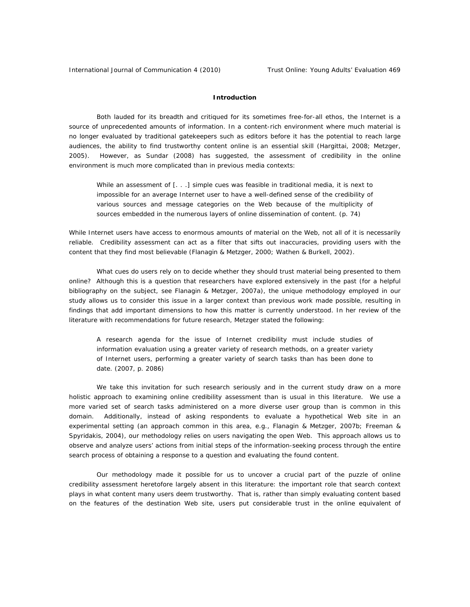## **Introduction**

Both lauded for its breadth and critiqued for its sometimes free-for-all ethos, the Internet is a source of unprecedented amounts of information. In a content-rich environment where much material is no longer evaluated by traditional gatekeepers such as editors before it has the potential to reach large audiences, the ability to find trustworthy content online is an essential skill (Hargittai, 2008; Metzger, 2005). However, as Sundar (2008) has suggested, the assessment of credibility in the online environment is much more complicated than in previous media contexts:

While an assessment of [. . .] simple cues was feasible in traditional media, it is next to impossible for an average Internet user to have a well-defined sense of the credibility of various sources and message categories on the Web because of the multiplicity of sources embedded in the numerous layers of online dissemination of content. (p. 74)

While Internet users have access to enormous amounts of material on the Web, not all of it is necessarily reliable. Credibility assessment can act as a filter that sifts out inaccuracies, providing users with the content that they find most believable (Flanagin & Metzger, 2000; Wathen & Burkell, 2002).

What cues do users rely on to decide whether they should trust material being presented to them online? Although this is a question that researchers have explored extensively in the past (for a helpful bibliography on the subject, see Flanagin & Metzger, 2007a), the unique methodology employed in our study allows us to consider this issue in a larger context than previous work made possible, resulting in findings that add important dimensions to how this matter is currently understood. In her review of the literature with recommendations for future research, Metzger stated the following:

A research agenda for the issue of Internet credibility must include studies of information evaluation using a greater variety of research methods, on a greater variety of Internet users, performing a greater variety of search tasks than has been done to date. (2007, p. 2086)

We take this invitation for such research seriously and in the current study draw on a more holistic approach to examining online credibility assessment than is usual in this literature. We use a more varied set of search tasks administered on a more diverse user group than is common in this domain. Additionally, instead of asking respondents to evaluate a hypothetical Web site in an experimental setting (an approach common in this area, e.g., Flanagin & Metzger, 2007b; Freeman & Spyridakis, 2004), our methodology relies on users navigating the open Web. This approach allows us to observe and analyze users' actions from initial steps of the information-seeking process through the entire search process of obtaining a response to a question and evaluating the found content.

Our methodology made it possible for us to uncover a crucial part of the puzzle of online credibility assessment heretofore largely absent in this literature: the important role that search context plays in what content many users deem trustworthy. That is, rather than simply evaluating content based on the features of the destination Web site, users put considerable trust in the online equivalent of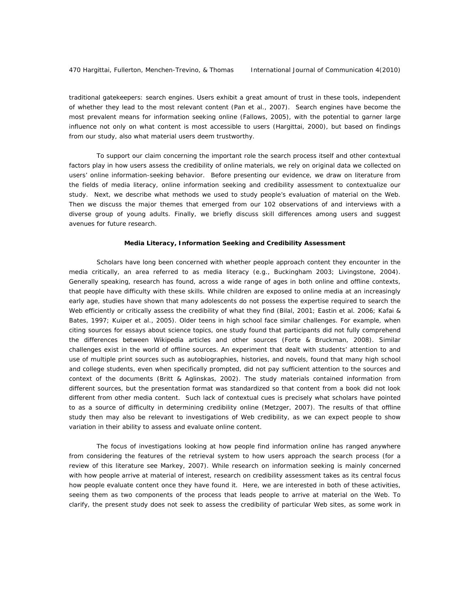traditional gatekeepers: search engines. Users exhibit a great amount of trust in these tools, independent of whether they lead to the most relevant content (Pan et al., 2007). Search engines have become the most prevalent means for information seeking online (Fallows, 2005), with the potential to garner large influence not only on what content is most accessible to users (Hargittai, 2000), but based on findings from our study, also what material users deem trustworthy.

To support our claim concerning the important role the search process itself and other contextual factors play in how users assess the credibility of online materials, we rely on original data we collected on users' online information-seeking behavior. Before presenting our evidence, we draw on literature from the fields of media literacy, online information seeking and credibility assessment to contextualize our study. Next, we describe what methods we used to study people's evaluation of material on the Web. Then we discuss the major themes that emerged from our 102 observations of and interviews with a diverse group of young adults. Finally, we briefly discuss skill differences among users and suggest avenues for future research.

#### **Media Literacy, Information Seeking and Credibility Assessment**

Scholars have long been concerned with whether people approach content they encounter in the media critically, an area referred to as media literacy (e.g., Buckingham 2003; Livingstone, 2004). Generally speaking, research has found, across a wide range of ages in both online and offline contexts, that people have difficulty with these skills. While children are exposed to online media at an increasingly early age, studies have shown that many adolescents do not possess the expertise required to search the Web efficiently or critically assess the credibility of what they find (Bilal, 2001; Eastin et al. 2006; Kafai & Bates, 1997; Kuiper et al., 2005). Older teens in high school face similar challenges. For example, when citing sources for essays about science topics, one study found that participants did not fully comprehend the differences between Wikipedia articles and other sources (Forte & Bruckman, 2008). Similar challenges exist in the world of offline sources. An experiment that dealt with students' attention to and use of multiple print sources such as autobiographies, histories, and novels, found that many high school and college students, even when specifically prompted, did not pay sufficient attention to the sources and context of the documents (Britt & Aglinskas, 2002). The study materials contained information from different sources, but the presentation format was standardized so that content from a book did not look different from other media content. Such lack of contextual cues is precisely what scholars have pointed to as a source of difficulty in determining credibility online (Metzger, 2007). The results of that offline study then may also be relevant to investigations of Web credibility, as we can expect people to show variation in their ability to assess and evaluate online content.

The focus of investigations looking at how people find information online has ranged anywhere from considering the features of the retrieval system to how users approach the search process (for a review of this literature see Markey, 2007). While research on information seeking is mainly concerned with how people arrive at material of interest, research on credibility assessment takes as its central focus how people evaluate content once they have found it. Here, we are interested in both of these activities, seeing them as two components of the process that leads people to arrive at material on the Web. To clarify, the present study does not seek to assess the credibility of particular Web sites, as some work in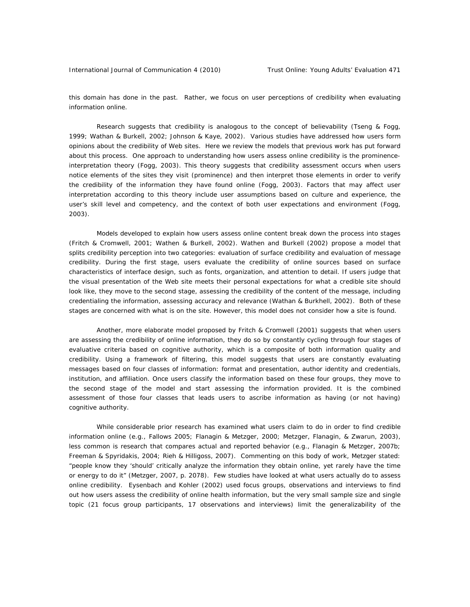this domain has done in the past. Rather, we focus on user *perceptions* of credibility when evaluating information online.

Research suggests that credibility is analogous to the concept of believability (Tseng & Fogg, 1999; Wathan & Burkell, 2002; Johnson & Kaye, 2002). Various studies have addressed how users form opinions about the credibility of Web sites. Here we review the models that previous work has put forward about this process. One approach to understanding how users assess online credibility is the prominenceinterpretation theory (Fogg, 2003). This theory suggests that credibility assessment occurs when users notice elements of the sites they visit (prominence) and then interpret those elements in order to verify the credibility of the information they have found online (Fogg, 2003). Factors that may affect user interpretation according to this theory include user assumptions based on culture and experience, the user's skill level and competency, and the context of both user expectations and environment (Fogg, 2003).

Models developed to explain how users assess online content break down the process into stages (Fritch & Cromwell, 2001; Wathen & Burkell, 2002). Wathen and Burkell (2002) propose a model that splits credibility perception into two categories: evaluation of surface credibility and evaluation of message credibility. During the first stage, users evaluate the credibility of online sources based on surface characteristics of interface design, such as fonts, organization, and attention to detail. If users judge that the visual presentation of the Web site meets their personal expectations for what a credible site should look like, they move to the second stage, assessing the credibility of the content of the message, including credentialing the information, assessing accuracy and relevance (Wathan & Burkhell, 2002). Both of these stages are concerned with what is on the site. However, this model does not consider how a site is found.

Another, more elaborate model proposed by Fritch & Cromwell (2001) suggests that when users are assessing the credibility of online information, they do so by constantly cycling through four stages of evaluative criteria based on cognitive authority, which is a composite of both information quality and credibility. Using a framework of filtering, this model suggests that users are constantly evaluating messages based on four classes of information: format and presentation, author identity and credentials, institution, and affiliation. Once users classify the information based on these four groups, they move to the second stage of the model and start assessing the information provided. It is the combined assessment of those four classes that leads users to ascribe information as having (or not having) cognitive authority.

While considerable prior research has examined what users claim to do in order to find credible information online (e.g., Fallows 2005; Flanagin & Metzger, 2000; Metzger, Flanagin, & Zwarun, 2003), less common is research that compares actual and reported behavior (e.g., Flanagin & Metzger, 2007b; Freeman & Spyridakis, 2004; Rieh & Hilligoss, 2007). Commenting on this body of work, Metzger stated: "people know they 'should' critically analyze the information they obtain online, yet rarely have the time or energy to do it" (Metzger, 2007, p. 2078). Few studies have looked at what users actually do to assess online credibility. Eysenbach and Kohler (2002) used focus groups, observations and interviews to find out how users assess the credibility of online health information, but the very small sample size and single topic (21 focus group participants, 17 observations and interviews) limit the generalizability of the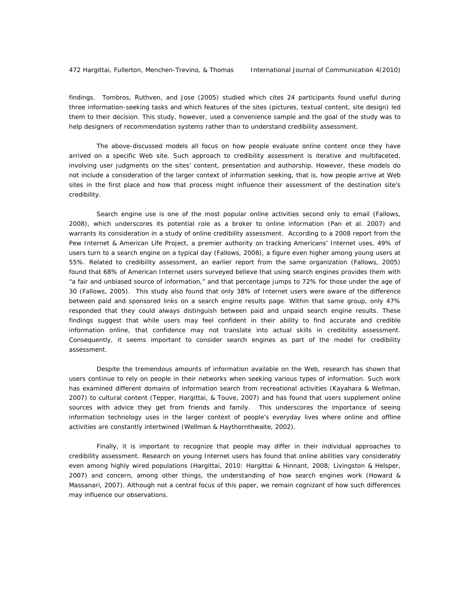findings. Tombros, Ruthven, and Jose (2005) studied which cites 24 participants found useful during three information-seeking tasks and which features of the sites (pictures, textual content, site design) led them to their decision. This study, however, used a convenience sample and the goal of the study was to help designers of recommendation systems rather than to understand credibility assessment.

The above-discussed models all focus on how people evaluate online content once they have arrived on a specific Web site. Such approach to credibility assessment is iterative and multifaceted, involving user judgments on the sites' content, presentation and authorship. However, these models do not include a consideration of the larger context of information seeking, that is, how people arrive at Web sites in the first place and how that process might influence their assessment of the destination site's credibility.

Search engine use is one of the most popular online activities second only to email (Fallows, 2008), which underscores its potential role as a broker to online information (Pan et al. 2007) and warrants its consideration in a study of online credibility assessment. According to a 2008 report from the Pew Internet & American Life Project, a premier authority on tracking Americans' Internet uses, 49% of users turn to a search engine on a typical day (Fallows, 2008), a figure even higher among young users at 55%. Related to credibility assessment, an earlier report from the same organization (Fallows, 2005) found that 68% of American Internet users surveyed believe that using search engines provides them with "a fair and unbiased source of information," and that percentage jumps to 72% for those under the age of 30 (Fallows, 2005). This study also found that only 38% of Internet users were aware of the difference between paid and sponsored links on a search engine results page. Within that same group, only 47% responded that they could always distinguish between paid and unpaid search engine results. These findings suggest that while users may feel confident in their ability to find accurate and credible information online, that confidence may not translate into actual skills in credibility assessment. Consequently, it seems important to consider search engines as part of the model for credibility assessment.

Despite the tremendous amounts of information available on the Web, research has shown that users continue to rely on people in their networks when seeking various types of information. Such work has examined different domains of information search from recreational activities (Kayahara & Wellman, 2007) to cultural content (Tepper, Hargittai, & Touve, 2007) and has found that users supplement online sources with advice they get from friends and family. This underscores the importance of seeing information technology uses in the larger context of people's everyday lives where online and offline activities are constantly intertwined (Wellman & Haythornthwaite, 2002).

Finally, it is important to recognize that people may differ in their individual approaches to credibility assessment. Research on young Internet users has found that online abilities vary considerably even among highly wired populations (Hargittai, 2010: Hargittai & Hinnant, 2008; Livingston & Helsper, 2007) and concern, among other things, the understanding of how search engines work (Howard & Massanari, 2007). Although not a central focus of this paper, we remain cognizant of how such differences may influence our observations.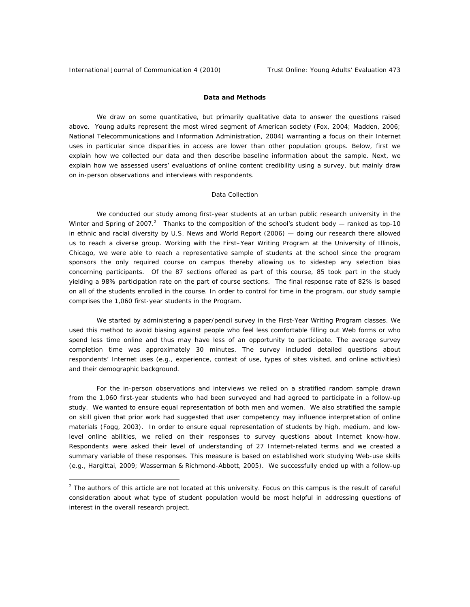$\overline{a}$ 

## **Data and Methods**

We draw on some quantitative, but primarily qualitative data to answer the questions raised above. Young adults represent the most wired segment of American society (Fox, 2004; Madden, 2006; National Telecommunications and Information Administration, 2004) warranting a focus on their Internet uses in particular since disparities in access are lower than other population groups. Below, first we explain how we collected our data and then describe baseline information about the sample. Next, we explain how we assessed users' evaluations of online content credibility using a survey, but mainly draw on in-person observations and interviews with respondents.

### *Data Collection*

We conducted our study among first-year students at an urban public research university in the Winter and Spring of 2007.<sup>2</sup> Thanks to the composition of the school's student body — ranked as top-10 in ethnic and racial diversity by *U.S. News and World Report* (2006) — doing our research there allowed us to reach a diverse group. Working with the First–Year Writing Program at the University of Illinois, Chicago, we were able to reach a representative sample of students at the school since the program sponsors the only required course on campus thereby allowing us to sidestep any selection bias concerning participants. Of the 87 sections offered as part of this course, 85 took part in the study yielding a 98% participation rate on the part of course sections. The final response rate of 82% is based on all of the students enrolled in the course. In order to control for time in the program, our study sample comprises the 1,060 first-year students in the Program.

We started by administering a paper/pencil survey in the First-Year Writing Program classes. We used this method to avoid biasing against people who feel less comfortable filling out Web forms or who spend less time online and thus may have less of an opportunity to participate. The average survey completion time was approximately 30 minutes. The survey included detailed questions about respondents' Internet uses (e.g., experience, context of use, types of sites visited, and online activities) and their demographic background.

For the in-person observations and interviews we relied on a stratified random sample drawn from the 1,060 first-year students who had been surveyed and had agreed to participate in a follow-up study. We wanted to ensure equal representation of both men and women. We also stratified the sample on skill given that prior work had suggested that user competency may influence interpretation of online materials (Fogg, 2003). In order to ensure equal representation of students by high, medium, and lowlevel online abilities, we relied on their responses to survey questions about Internet know-how. Respondents were asked their level of understanding of 27 Internet-related terms and we created a summary variable of these responses. This measure is based on established work studying Web-use skills (e.g., Hargittai, 2009; Wasserman & Richmond-Abbott, 2005). We successfully ended up with a follow-up

 $2$  The authors of this article are not located at this university. Focus on this campus is the result of careful consideration about what type of student population would be most helpful in addressing questions of interest in the overall research project.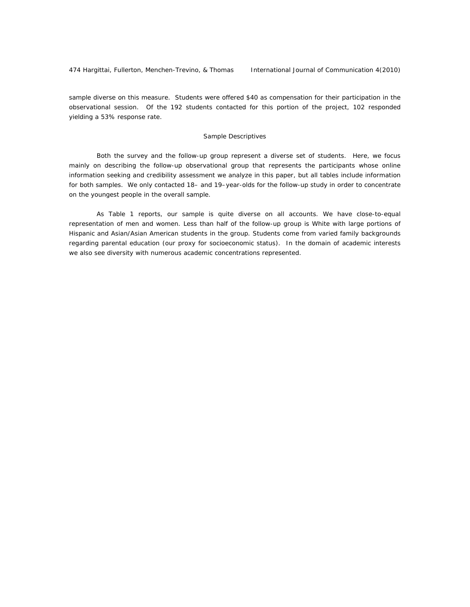sample diverse on this measure. Students were offered \$40 as compensation for their participation in the observational session. Of the 192 students contacted for this portion of the project, 102 responded yielding a 53% response rate.

### *Sample Descriptives*

Both the survey and the follow-up group represent a diverse set of students. Here, we focus mainly on describing the follow-up observational group that represents the participants whose online information seeking and credibility assessment we analyze in this paper, but all tables include information for both samples. We only contacted 18– and 19–year-olds for the follow-up study in order to concentrate on the youngest people in the overall sample.

As Table 1 reports, our sample is quite diverse on all accounts. We have close-to-equal representation of men and women. Less than half of the follow-up group is White with large portions of Hispanic and Asian/Asian American students in the group. Students come from varied family backgrounds regarding parental education (our proxy for socioeconomic status). In the domain of academic interests we also see diversity with numerous academic concentrations represented.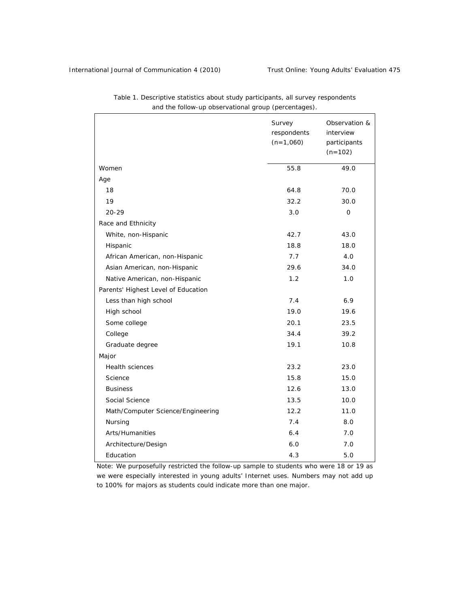|                                     | Survey<br>respondents<br>$(n=1,060)$ | Observation &<br>interview<br>participants<br>$(n=102)$ |
|-------------------------------------|--------------------------------------|---------------------------------------------------------|
| Women                               | 55.8                                 | 49.0                                                    |
| Age                                 |                                      |                                                         |
| 18                                  | 64.8                                 | 70.0                                                    |
| 19                                  | 32.2                                 | 30.0                                                    |
| $20 - 29$                           | 3.0                                  | 0                                                       |
| Race and Ethnicity                  |                                      |                                                         |
| White, non-Hispanic                 | 42.7                                 | 43.0                                                    |
| Hispanic                            | 18.8                                 | 18.0                                                    |
| African American, non-Hispanic      | 7.7                                  | 4.0                                                     |
| Asian American, non-Hispanic        | 29.6                                 | 34.0                                                    |
| Native American, non-Hispanic       | 1.2                                  | 1.0                                                     |
| Parents' Highest Level of Education |                                      |                                                         |
| Less than high school               | 7.4                                  | 6.9                                                     |
| High school                         | 19.0                                 | 19.6                                                    |
| Some college                        | 20.1                                 | 23.5                                                    |
| College                             | 34.4                                 | 39.2                                                    |
| Graduate degree                     | 19.1                                 | 10.8                                                    |
| Major                               |                                      |                                                         |
| <b>Health sciences</b>              | 23.2                                 | 23.0                                                    |
| Science                             | 15.8                                 | 15.0                                                    |
| <b>Business</b>                     | 12.6                                 | 13.0                                                    |
| Social Science                      | 13.5                                 | 10.0                                                    |
| Math/Computer Science/Engineering   | 12.2                                 | 11.0                                                    |
| Nursing                             | 7.4                                  | 8.0                                                     |
| Arts/Humanities                     | 6.4                                  | 7.0                                                     |
| Architecture/Design                 | 6.0                                  | 7.0                                                     |
| Education                           | 4.3                                  | 5.0                                                     |

*Table 1. Descriptive statistics about study participants, all survey respondents and the follow-up observational group (percentages).* 

*Note:* We purposefully restricted the follow-up sample to students who were 18 or 19 as we were especially interested in young adults' Internet uses. Numbers may not add up to 100% for majors as students could indicate more than one major.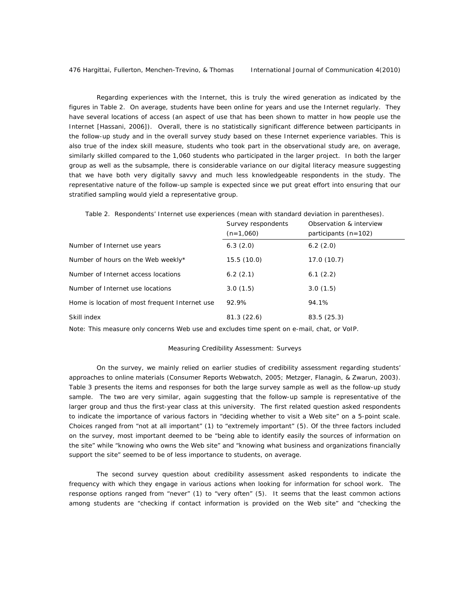Regarding experiences with the Internet, this is truly the wired generation as indicated by the figures in Table 2. On average, students have been online for years and use the Internet regularly. They have several locations of access (an aspect of use that has been shown to matter in how people use the Internet [Hassani, 2006]). Overall, there is no statistically significant difference between participants in the follow-up study and in the overall survey study based on these Internet experience variables. This is also true of the index skill measure, students who took part in the observational study are, on average, similarly skilled compared to the 1,060 students who participated in the larger project. In both the larger group as well as the subsample, there is considerable variance on our digital literacy measure suggesting that we have both very digitally savvy and much less knowledgeable respondents in the study. The representative nature of the follow-up sample is expected since we put great effort into ensuring that our stratified sampling would yield a representative group.

*Table 2. Respondents' Internet use experiences (mean with standard deviation in parentheses).* 

|                                                | Survey respondents<br>$(n=1,060)$ | Observation & interview<br>participants $(n=102)$ |
|------------------------------------------------|-----------------------------------|---------------------------------------------------|
| Number of Internet use years                   | 6.3(2.0)                          | 6.2(2.0)                                          |
| Number of hours on the Web weekly*             | 15.5(10.0)                        | 17.0(10.7)                                        |
| Number of Internet access locations            | 6.2(2.1)                          | 6.1(2.2)                                          |
| Number of Internet use locations               | 3.0(1.5)                          | 3.0(1.5)                                          |
| Home is location of most frequent Internet use | 92.9%                             | 94.1%                                             |
| Skill index                                    | 81.3(22.6)                        | 83.5(25.3)                                        |

*Note:* This measure only concerns Web use and excludes time spent on e-mail, chat, or VoIP.

#### *Measuring Credibility Assessment: Surveys*

On the survey, we mainly relied on earlier studies of credibility assessment regarding students' approaches to online materials (Consumer Reports Webwatch, 2005; Metzger, Flanagin, & Zwarun, 2003). Table 3 presents the items and responses for both the large survey sample as well as the follow-up study sample. The two are very similar, again suggesting that the follow-up sample is representative of the larger group and thus the first-year class at this university. The first related question asked respondents to indicate the importance of various factors in "deciding whether to visit a Web site" on a 5-point scale. Choices ranged from "not at all important" (1) to "extremely important" (5). Of the three factors included on the survey, most important deemed to be "being able to identify easily the sources of information on the site" while "knowing who owns the Web site" and "knowing what business and organizations financially support the site" seemed to be of less importance to students, on average.

The second survey question about credibility assessment asked respondents to indicate the frequency with which they engage in various actions when looking for information for school work. The response options ranged from "never" (1) to "very often" (5). It seems that the least common actions among students are "checking if contact information is provided on the Web site" and "checking the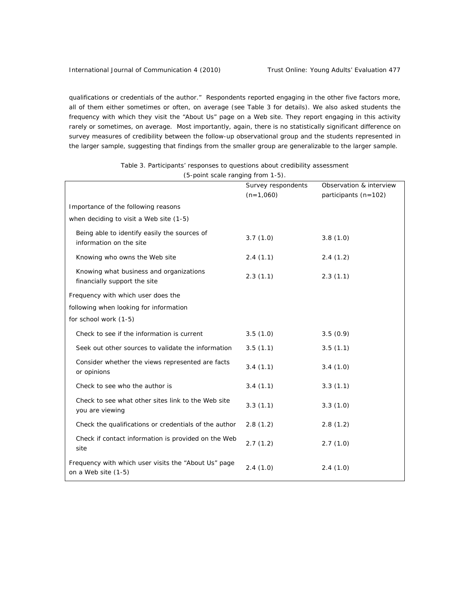qualifications or credentials of the author." Respondents reported engaging in the other five factors more, all of them either sometimes or often, on average (see Table 3 for details). We also asked students the frequency with which they visit the "About Us" page on a Web site. They report engaging in this activity rarely or sometimes, on average. Most importantly, again, there is no statistically significant difference on survey measures of credibility between the follow-up observational group and the students represented in the larger sample, suggesting that findings from the smaller group are generalizable to the larger sample.

|                                                                             | Survey respondents | Observation & interview |
|-----------------------------------------------------------------------------|--------------------|-------------------------|
|                                                                             | $(n=1,060)$        | participants (n=102)    |
| Importance of the following reasons                                         |                    |                         |
| when deciding to visit a Web site (1-5)                                     |                    |                         |
| Being able to identify easily the sources of<br>information on the site     | 3.7(1.0)           | 3.8(1.0)                |
| Knowing who owns the Web site                                               | 2.4(1.1)           | 2.4(1.2)                |
| Knowing what business and organizations<br>financially support the site     | 2.3(1.1)           | 2.3(1.1)                |
| Frequency with which user does the                                          |                    |                         |
| following when looking for information                                      |                    |                         |
| for school work (1-5)                                                       |                    |                         |
| Check to see if the information is current                                  | 3.5(1.0)           | 3.5(0.9)                |
| Seek out other sources to validate the information                          | 3.5(1.1)           | 3.5(1.1)                |
| Consider whether the views represented are facts<br>or opinions             | 3.4(1.1)           | 3.4(1.0)                |
| Check to see who the author is                                              | 3.4(1.1)           | 3.3(1.1)                |
| Check to see what other sites link to the Web site<br>you are viewing       | 3.3(1.1)           | 3.3(1.0)                |
| Check the qualifications or credentials of the author                       | 2.8(1.2)           | 2.8(1.2)                |
| Check if contact information is provided on the Web<br>site                 | 2.7(1.2)           | 2.7(1.0)                |
| Frequency with which user visits the "About Us" page<br>on a Web site (1-5) | 2.4(1.0)           | 2.4(1.0)                |

*Table 3. Participants' responses to questions about credibility assessment (5-point scale ranging from 1-5).*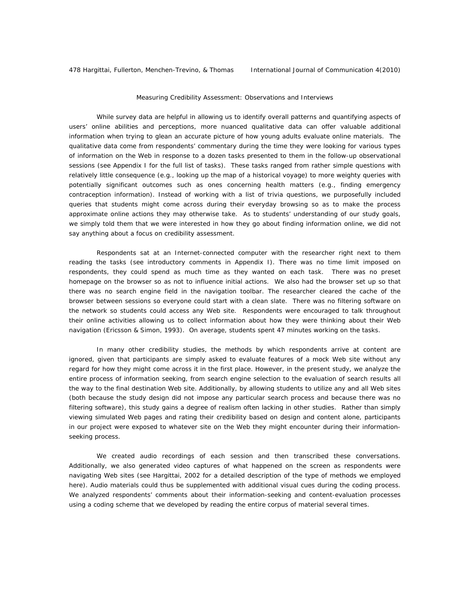### *Measuring Credibility Assessment: Observations and Interviews*

While survey data are helpful in allowing us to identify overall patterns and quantifying aspects of users' online abilities and perceptions, more nuanced qualitative data can offer valuable additional information when trying to glean an accurate picture of how young adults evaluate online materials. The qualitative data come from respondents' commentary during the time they were looking for various types of information on the Web in response to a dozen tasks presented to them in the follow-up observational sessions (see Appendix I for the full list of tasks). These tasks ranged from rather simple questions with relatively little consequence (e.g., looking up the map of a historical voyage) to more weighty queries with potentially significant outcomes such as ones concerning health matters (e.g., finding emergency contraception information). Instead of working with a list of trivia questions, we purposefully included queries that students might come across during their everyday browsing so as to make the process approximate online actions they may otherwise take. As to students' understanding of our study goals, we simply told them that we were interested in how they go about finding information online, we did not say anything about a focus on credibility assessment.

Respondents sat at an Internet-connected computer with the researcher right next to them reading the tasks (see introductory comments in Appendix I). There was no time limit imposed on respondents, they could spend as much time as they wanted on each task. There was no preset homepage on the browser so as not to influence initial actions. We also had the browser set up so that there was no search engine field in the navigation toolbar. The researcher cleared the cache of the browser between sessions so everyone could start with a clean slate. There was no filtering software on the network so students could access any Web site. Respondents were encouraged to talk throughout their online activities allowing us to collect information about how they were thinking about their Web navigation (Ericsson & Simon, 1993). On average, students spent 47 minutes working on the tasks.

In many other credibility studies, the methods by which respondents arrive at content are ignored, given that participants are simply asked to evaluate features of a mock Web site without any regard for how they might come across it in the first place. However, in the present study, we analyze the entire process of information seeking, from search engine selection to the evaluation of search results all the way to the final destination Web site. Additionally, by allowing students to utilize any and all Web sites (both because the study design did not impose any particular search process and because there was no filtering software), this study gains a degree of realism often lacking in other studies. Rather than simply viewing simulated Web pages and rating their credibility based on design and content alone, participants in our project were exposed to whatever site on the Web they might encounter during their informationseeking process.

We created audio recordings of each session and then transcribed these conversations. Additionally, we also generated video captures of what happened on the screen as respondents were navigating Web sites (see Hargittai, 2002 for a detailed description of the type of methods we employed here). Audio materials could thus be supplemented with additional visual cues during the coding process. We analyzed respondents' comments about their information-seeking and content-evaluation processes using a coding scheme that we developed by reading the entire corpus of material several times.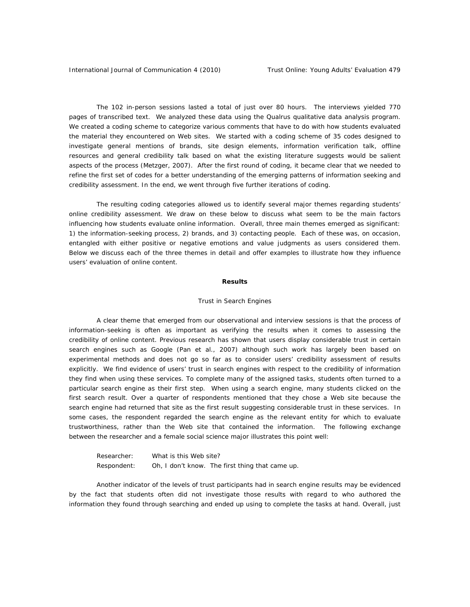The 102 in-person sessions lasted a total of just over 80 hours. The interviews yielded 770 pages of transcribed text. We analyzed these data using the Qualrus qualitative data analysis program. We created a coding scheme to categorize various comments that have to do with how students evaluated the material they encountered on Web sites. We started with a coding scheme of 35 codes designed to investigate general mentions of brands, site design elements, information verification talk, offline resources and general credibility talk based on what the existing literature suggests would be salient aspects of the process (Metzger, 2007). After the first round of coding, it became clear that we needed to refine the first set of codes for a better understanding of the emerging patterns of information seeking and credibility assessment. In the end, we went through five further iterations of coding.

The resulting coding categories allowed us to identify several major themes regarding students' online credibility assessment. We draw on these below to discuss what seem to be the main factors influencing how students evaluate online information. Overall, three main themes emerged as significant: 1) the information-seeking process, 2) brands, and 3) contacting people. Each of these was, on occasion, entangled with either positive or negative emotions and value judgments as users considered them. Below we discuss each of the three themes in detail and offer examples to illustrate how they influence users' evaluation of online content.

### *Results*

#### *Trust in Search Engines*

A clear theme that emerged from our observational and interview sessions is that the process of information-seeking is often as important as verifying the results when it comes to assessing the credibility of online content. Previous research has shown that users display considerable trust in certain search engines such as Google (Pan et al., 2007) although such work has largely been based on experimental methods and does not go so far as to consider users' credibility assessment of results explicitly. We find evidence of users' trust in search engines with respect to the credibility of information they find when using these services. To complete many of the assigned tasks, students often turned to a particular search engine as their first step. When using a search engine, many students clicked on the first search result. Over a quarter of respondents mentioned that they chose a Web site because the search engine had returned that site as the first result suggesting considerable trust in these services. In some cases, the respondent regarded the search engine as the relevant entity for which to evaluate trustworthiness, rather than the Web site that contained the information. The following exchange between the researcher and a female social science major illustrates this point well:

Researcher: What is this Web site? Respondent: Oh, I don't know. The first thing that came up.

Another indicator of the levels of trust participants had in search engine results may be evidenced by the fact that students often did not investigate those results with regard to who authored the information they found through searching and ended up using to complete the tasks at hand. Overall, just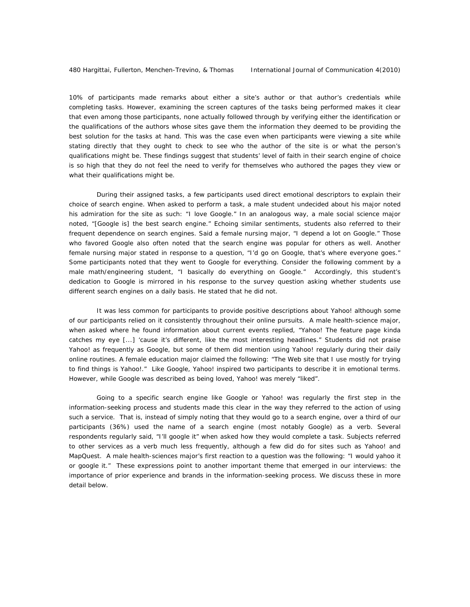10% of participants made remarks about either a site's author or that author's credentials while completing tasks. However, examining the screen captures of the tasks being performed makes it clear that even among those participants, none actually followed through by verifying either the identification or the qualifications of the authors whose sites gave them the information they deemed to be providing the best solution for the tasks at hand. This was the case even when participants were viewing a site while stating directly that they ought to check to see who the author of the site is or what the person's qualifications might be. These findings suggest that students' level of faith in their search engine of choice is so high that they do not feel the need to verify for themselves who authored the pages they view or what their qualifications might be.

During their assigned tasks, a few participants used direct emotional descriptors to explain their choice of search engine. When asked to perform a task, a male student undecided about his major noted his admiration for the site as such: "I love Google." In an analogous way, a male social science major noted, "[Google is] the best search engine." Echoing similar sentiments, students also referred to their frequent dependence on search engines. Said a female nursing major, "I depend a lot on Google." Those who favored Google also often noted that the search engine was popular for others as well. Another female nursing major stated in response to a question, "I'd go on Google, that's where everyone goes." Some participants noted that they went to Google for everything. Consider the following comment by a male math/engineering student, "I basically do everything on Google." Accordingly, this student's dedication to Google is mirrored in his response to the survey question asking whether students use different search engines on a daily basis. He stated that he did not.

It was less common for participants to provide positive descriptions about Yahoo! although some of our participants relied on it consistently throughout their online pursuits. A male health-science major, when asked where he found information about current events replied, "Yahoo! The feature page kinda catches my eye [...] 'cause it's different, like the most interesting headlines." Students did not praise Yahoo! as frequently as Google, but some of them did mention using Yahoo! regularly during their daily online routines. A female education major claimed the following: "The Web site that I use mostly for trying to find things is Yahoo!." Like Google, Yahoo! inspired two participants to describe it in emotional terms. However, while Google was described as being loved, Yahoo! was merely "liked".

Going to a specific search engine like Google or Yahoo! was regularly the first step in the information-seeking process and students made this clear in the way they referred to the action of using such a service. That is, instead of simply noting that they would go to a search engine, over a third of our participants (36%) used the name of a search engine (most notably Google) as a verb. Several respondents regularly said, "I'll google it" when asked how they would complete a task. Subjects referred to other services as a verb much less frequently, although a few did do for sites such as Yahoo! and MapQuest. A male health-sciences major's first reaction to a question was the following: "I would yahoo it or google it." These expressions point to another important theme that emerged in our interviews: the importance of prior experience and brands in the information-seeking process. We discuss these in more detail below.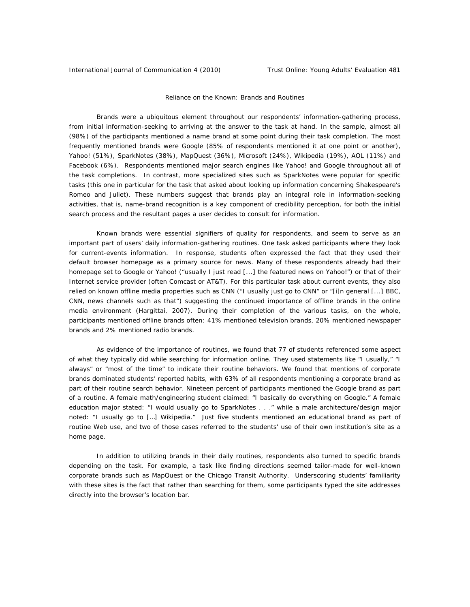### *Reliance on the Known: Brands and Routines*

Brands were a ubiquitous element throughout our respondents' information-gathering process, from initial information-seeking to arriving at the answer to the task at hand. In the sample, almost all (98%) of the participants mentioned a name brand at some point during their task completion. The most frequently mentioned brands were Google (85% of respondents mentioned it at one point or another), Yahoo! (51%), SparkNotes (38%), MapQuest (36%), Microsoft (24%), Wikipedia (19%), AOL (11%) and Facebook (6%). Respondents mentioned major search engines like Yahoo! and Google throughout all of the task completions. In contrast, more specialized sites such as SparkNotes were popular for specific tasks (this one in particular for the task that asked about looking up information concerning Shakespeare's *Romeo and Juliet*). These numbers suggest that brands play an integral role in information-seeking activities, that is, name-brand recognition is a key component of credibility perception, for both the initial search process and the resultant pages a user decides to consult for information.

Known brands were essential signifiers of quality for respondents, and seem to serve as an important part of users' daily information-gathering routines. One task asked participants where they look for current-events information. In response, students often expressed the fact that they used their default browser homepage as a primary source for news. Many of these respondents already had their homepage set to Google or Yahoo! ("usually I just read [...] the featured news on Yahoo!") or that of their Internet service provider (often Comcast or AT&T). For this particular task about current events, they also relied on known offline media properties such as CNN ("I usually just go to CNN" or "[i]n general [...] BBC, CNN, news channels such as that") suggesting the continued importance of offline brands in the online media environment (Hargittai, 2007). During their completion of the various tasks, on the whole, participants mentioned offline brands often: 41% mentioned television brands, 20% mentioned newspaper brands and 2% mentioned radio brands.

As evidence of the importance of routines, we found that 77 of students referenced some aspect of what they typically did while searching for information online. They used statements like "I usually," "I always" or "most of the time" to indicate their routine behaviors. We found that mentions of corporate brands dominated students' reported habits, with 63% of all respondents mentioning a corporate brand as part of their routine search behavior. Nineteen percent of participants mentioned the Google brand as part of a routine. A female math/engineering student claimed: "I basically do everything on Google." A female education major stated: "I would usually go to SparkNotes . . ." while a male architecture/design major noted: "I usually go to […] Wikipedia." Just five students mentioned an educational brand as part of routine Web use, and two of those cases referred to the students' use of their own institution's site as a home page.

In addition to utilizing brands in their daily routines, respondents also turned to specific brands depending on the task. For example, a task like finding directions seemed tailor-made for well-known corporate brands such as MapQuest or the Chicago Transit Authority. Underscoring students' familiarity with these sites is the fact that rather than searching for them, some participants typed the site addresses directly into the browser's location bar.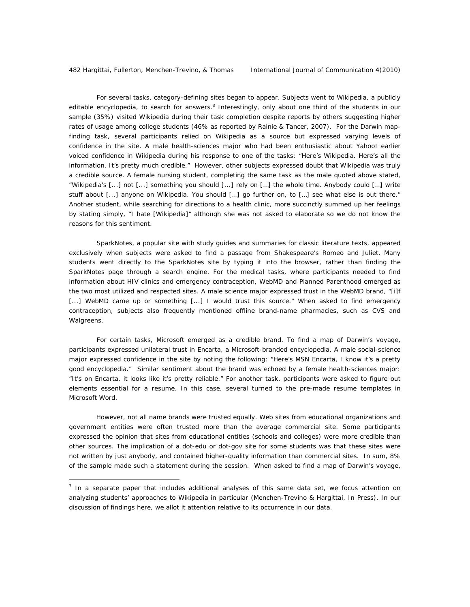$\overline{a}$ 

For several tasks, category-defining sites began to appear. Subjects went to Wikipedia, a publicly editable encyclopedia, to search for answers.<sup>3</sup> Interestingly, only about one third of the students in our sample (35%) visited Wikipedia during their task completion despite reports by others suggesting higher rates of usage among college students (46% as reported by Rainie & Tancer, 2007). For the Darwin mapfinding task, several participants relied on Wikipedia as a source but expressed varying levels of confidence in the site. A male health-sciences major who had been enthusiastic about Yahoo! earlier voiced confidence in Wikipedia during his response to one of the tasks: "Here's Wikipedia. Here's all the information. It's pretty much credible." However, other subjects expressed doubt that Wikipedia was truly a credible source. A female nursing student, completing the same task as the male quoted above stated, "Wikipedia's [...] not [...] something you should [...] rely on […] the whole time. Anybody could […] write stuff about [...] anyone on Wikipedia. You should […] go further on, to […] see what else is out there." Another student, while searching for directions to a health clinic, more succinctly summed up her feelings by stating simply, "I hate [Wikipedia]" although she was not asked to elaborate so we do not know the reasons for this sentiment.

SparkNotes, a popular site with study guides and summaries for classic literature texts, appeared exclusively when subjects were asked to find a passage from Shakespeare's *Romeo and Juliet*. Many students went directly to the SparkNotes site by typing it into the browser, rather than finding the SparkNotes page through a search engine. For the medical tasks, where participants needed to find information about HIV clinics and emergency contraception, WebMD and Planned Parenthood emerged as the two most utilized and respected sites. A male science major expressed trust in the WebMD brand, "[i]f [...] WebMD came up or something [...] I would trust this source." When asked to find emergency contraception, subjects also frequently mentioned offline brand-name pharmacies, such as CVS and Walgreens.

For certain tasks, Microsoft emerged as a credible brand. To find a map of Darwin's voyage, participants expressed unilateral trust in Encarta, a Microsoft-branded encyclopedia. A male social-science major expressed confidence in the site by noting the following: "Here's MSN Encarta, I know it's a pretty good encyclopedia." Similar sentiment about the brand was echoed by a female health-sciences major: "It's on Encarta, it looks like it's pretty reliable." For another task, participants were asked to figure out elements essential for a resume. In this case, several turned to the pre-made resume templates in Microsoft Word.

However, not all name brands were trusted equally. Web sites from educational organizations and government entities were often trusted more than the average commercial site. Some participants expressed the opinion that sites from educational entities (schools and colleges) were more credible than other sources. The implication of a dot-edu or dot-gov site for some students was that these sites were not written by just anybody, and contained higher-quality information than commercial sites. In sum, 8% of the sample made such a statement during the session. When asked to find a map of Darwin's voyage,

<sup>&</sup>lt;sup>3</sup> In a separate paper that includes additional analyses of this same data set, we focus attention on analyzing students' approaches to Wikipedia in particular (Menchen-Trevino & Hargittai, In Press). In our discussion of findings here, we allot it attention relative to its occurrence in our data.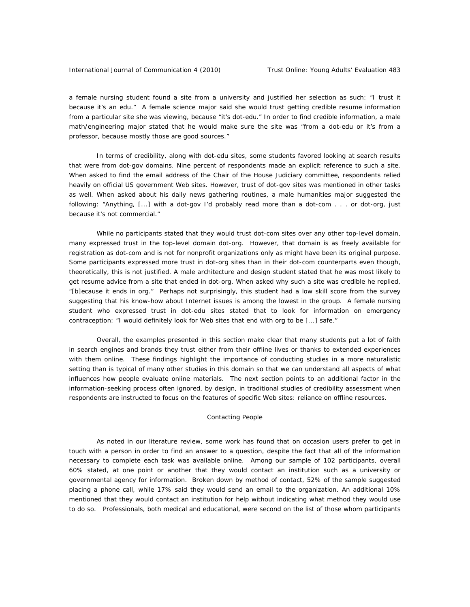a female nursing student found a site from a university and justified her selection as such: "I trust it because it's an edu." A female science major said she would trust getting credible resume information from a particular site she was viewing, because "it's dot-edu." In order to find credible information, a male math/engineering major stated that he would make sure the site was "from a dot-edu or it's from a professor, because mostly those are good sources."

In terms of credibility, along with dot-edu sites, some students favored looking at search results that were from dot-gov domains. Nine percent of respondents made an explicit reference to such a site. When asked to find the email address of the Chair of the House Judiciary committee, respondents relied heavily on official US government Web sites. However, trust of dot-gov sites was mentioned in other tasks as well. When asked about his daily news gathering routines, a male humanities major suggested the following: "Anything, [...] with a dot-gov I'd probably read more than a dot-com . . . or dot-org, just because it's not commercial."

While no participants stated that they would trust dot-com sites over any other top-level domain, many expressed trust in the top-level domain dot-org. However, that domain is as freely available for registration as dot-com and is not for nonprofit organizations only as might have been its original purpose. Some participants expressed more trust in dot-org sites than in their dot-com counterparts even though, theoretically, this is not justified. A male architecture and design student stated that he was most likely to get resume advice from a site that ended in dot-org. When asked why such a site was credible he replied, "[b]ecause it ends in org." Perhaps not surprisingly, this student had a low skill score from the survey suggesting that his know-how about Internet issues is among the lowest in the group. A female nursing student who expressed trust in dot-edu sites stated that to look for information on emergency contraception: "I would definitely look for Web sites that end with org to be [...] safe."

Overall, the examples presented in this section make clear that many students put a lot of faith in search engines and brands they trust either from their offline lives or thanks to extended experiences with them online. These findings highlight the importance of conducting studies in a more naturalistic setting than is typical of many other studies in this domain so that we can understand all aspects of what influences how people evaluate online materials. The next section points to an additional factor in the information-seeking process often ignored, by design, in traditional studies of credibility assessment when respondents are instructed to focus on the features of specific Web sites: reliance on offline resources.

### *Contacting People*

As noted in our literature review, some work has found that on occasion users prefer to get in touch with a person in order to find an answer to a question, despite the fact that all of the information necessary to complete each task was available online. Among our sample of 102 participants, overall 60% stated, at one point or another that they would contact an institution such as a university or governmental agency for information. Broken down by method of contact, 52% of the sample suggested placing a phone call, while 17% said they would send an email to the organization. An additional 10% mentioned that they would contact an institution for help without indicating what method they would use to do so. Professionals, both medical and educational, were second on the list of those whom participants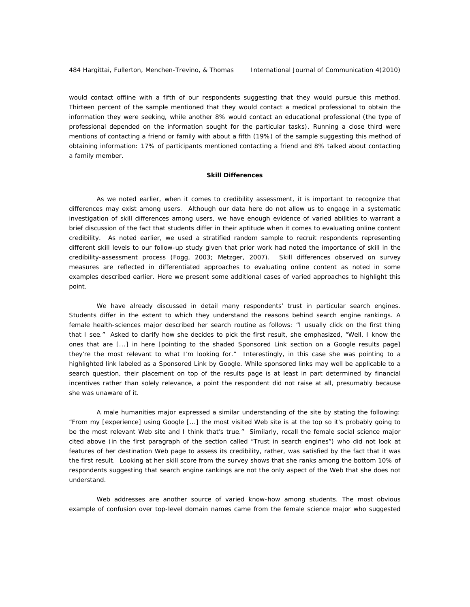would contact offline with a fifth of our respondents suggesting that they would pursue this method. Thirteen percent of the sample mentioned that they would contact a medical professional to obtain the information they were seeking, while another 8% would contact an educational professional (the type of professional depended on the information sought for the particular tasks). Running a close third were mentions of contacting a friend or family with about a fifth (19%) of the sample suggesting this method of obtaining information: 17% of participants mentioned contacting a friend and 8% talked about contacting a family member.

#### **Skill Differences**

As we noted earlier, when it comes to credibility assessment, it is important to recognize that differences may exist among users. Although our data here do not allow us to engage in a systematic investigation of skill differences among users, we have enough evidence of varied abilities to warrant a brief discussion of the fact that students differ in their aptitude when it comes to evaluating online content credibility. As noted earlier, we used a stratified random sample to recruit respondents representing different skill levels to our follow-up study given that prior work had noted the importance of skill in the credibility-assessment process (Fogg, 2003; Metzger, 2007). Skill differences observed on survey measures are reflected in differentiated approaches to evaluating online content as noted in some examples described earlier. Here we present some additional cases of varied approaches to highlight this point.

We have already discussed in detail many respondents' trust in particular search engines. Students differ in the extent to which they understand the reasons behind search engine rankings. A female health-sciences major described her search routine as follows: "I usually click on the first thing that I see." Asked to clarify how she decides to pick the first result, she emphasized, "Well, I know the ones that are [...] in here [pointing to the shaded Sponsored Link section on a Google results page] they're the most relevant to what I'm looking for." Interestingly, in this case she was pointing to a highlighted link labeled as a Sponsored Link by Google. While sponsored links may well be applicable to a search question, their placement on top of the results page is at least in part determined by financial incentives rather than solely relevance, a point the respondent did not raise at all, presumably because she was unaware of it.

A male humanities major expressed a similar understanding of the site by stating the following: "From my [experience] using Google [...] the most visited Web site is at the top so it's probably going to be the most relevant Web site and I think that's true." Similarly, recall the female social science major cited above (in the first paragraph of the section called "Trust in search engines") who did not look at features of her destination Web page to assess its credibility, rather, was satisfied by the fact that it was the first result. Looking at her skill score from the survey shows that she ranks among the bottom 10% of respondents suggesting that search engine rankings are not the only aspect of the Web that she does not understand.

Web addresses are another source of varied know-how among students. The most obvious example of confusion over top-level domain names came from the female science major who suggested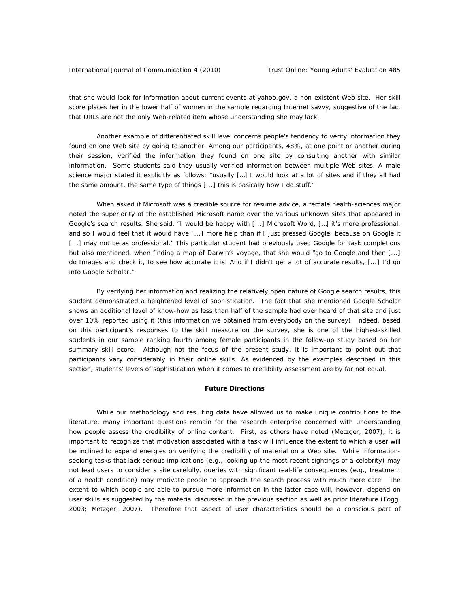that she would look for information about current events at yahoo.gov, a non-existent Web site. Her skill score places her in the lower half of women in the sample regarding Internet savvy, suggestive of the fact that URLs are not the only Web-related item whose understanding she may lack.

Another example of differentiated skill level concerns people's tendency to verify information they found on one Web site by going to another. Among our participants, 48%, at one point or another during their session, verified the information they found on one site by consulting another with similar information. Some students said they usually verified information between multiple Web sites. A male science major stated it explicitly as follows: "usually […] I would look at a lot of sites and if they all had the same amount, the same type of things [...] this is basically how I do stuff."

When asked if Microsoft was a credible source for resume advice, a female health-sciences major noted the superiority of the established Microsoft name over the various unknown sites that appeared in Google's search results. She said, "I would be happy with [...] Microsoft Word, […] it's more professional, and so I would feel that it would have [...] more help than if I just pressed Google, because on Google it [...] may not be as professional." This particular student had previously used Google for task completions but also mentioned, when finding a map of Darwin's voyage, that she would "go to Google and then [...] do Images and check it, to see how accurate it is. And if I didn't get a lot of accurate results, [...] I'd go into Google Scholar."

By verifying her information and realizing the relatively open nature of Google search results, this student demonstrated a heightened level of sophistication. The fact that she mentioned Google Scholar shows an additional level of know-how as less than half of the sample had ever heard of that site and just over 10% reported using it (this information we obtained from everybody on the survey). Indeed, based on this participant's responses to the skill measure on the survey, she is one of the highest-skilled students in our sample ranking fourth among female participants in the follow-up study based on her summary skill score. Although not the focus of the present study, it is important to point out that participants vary considerably in their online skills. As evidenced by the examples described in this section, students' levels of sophistication when it comes to credibility assessment are by far not equal.

# **Future Directions**

While our methodology and resulting data have allowed us to make unique contributions to the literature, many important questions remain for the research enterprise concerned with understanding how people assess the credibility of online content. First, as others have noted (Metzger, 2007), it is important to recognize that motivation associated with a task will influence the extent to which a user will be inclined to expend energies on verifying the credibility of material on a Web site. While informationseeking tasks that lack serious implications (e.g., looking up the most recent sightings of a celebrity) may not lead users to consider a site carefully, queries with significant real-life consequences (e.g., treatment of a health condition) may motivate people to approach the search process with much more care. The extent to which people are able to pursue more information in the latter case will, however, depend on user skills as suggested by the material discussed in the previous section as well as prior literature (Fogg, 2003; Metzger, 2007). Therefore that aspect of user characteristics should be a conscious part of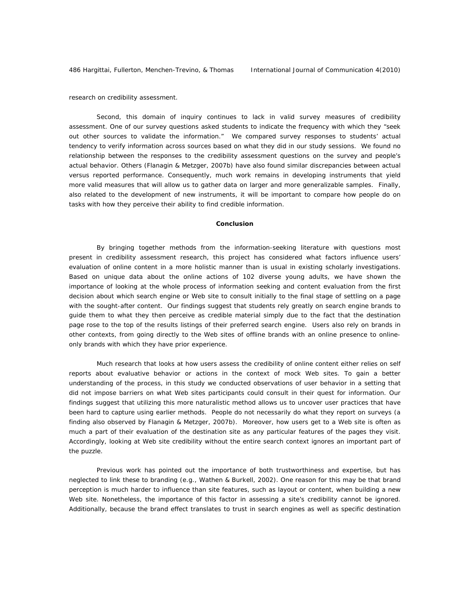research on credibility assessment.

Second, this domain of inquiry continues to lack in valid survey measures of credibility assessment. One of our survey questions asked students to indicate the frequency with which they "seek out other sources to validate the information." We compared survey responses to students' actual tendency to verify information across sources based on what they did in our study sessions. We found no relationship between the responses to the credibility assessment questions on the survey and people's actual behavior. Others (Flanagin & Metzger, 2007b) have also found similar discrepancies between actual versus reported performance. Consequently, much work remains in developing instruments that yield more valid measures that will allow us to gather data on larger and more generalizable samples. Finally, also related to the development of new instruments, it will be important to compare how people do on tasks with how they perceive their ability to find credible information.

### **Conclusion**

By bringing together methods from the information-seeking literature with questions most present in credibility assessment research, this project has considered what factors influence users' evaluation of online content in a more holistic manner than is usual in existing scholarly investigations. Based on unique data about the online actions of 102 diverse young adults, we have shown the importance of looking at the whole process of information seeking and content evaluation from the first decision about which search engine or Web site to consult initially to the final stage of settling on a page with the sought-after content. Our findings suggest that students rely greatly on search engine brands to guide them to what they then perceive as credible material simply due to the fact that the destination page rose to the top of the results listings of their preferred search engine. Users also rely on brands in other contexts, from going directly to the Web sites of offline brands with an online presence to onlineonly brands with which they have prior experience.

Much research that looks at how users assess the credibility of online content either relies on self reports about evaluative behavior or actions in the context of mock Web sites. To gain a better understanding of the process, in this study we conducted observations of user behavior in a setting that did not impose barriers on what Web sites participants could consult in their quest for information. Our findings suggest that utilizing this more naturalistic method allows us to uncover user practices that have been hard to capture using earlier methods. People do not necessarily do what they report on surveys (a finding also observed by Flanagin & Metzger, 2007b). Moreover, how users get to a Web site is often as much a part of their evaluation of the destination site as any particular features of the pages they visit. Accordingly, looking at Web site credibility without the entire search context ignores an important part of the puzzle.

Previous work has pointed out the importance of both trustworthiness and expertise, but has neglected to link these to branding (e.g., Wathen & Burkell, 2002). One reason for this may be that brand perception is much harder to influence than site features, such as layout or content, when building a new Web site. Nonetheless, the importance of this factor in assessing a site's credibility cannot be ignored. Additionally, because the brand effect translates to trust in search engines as well as specific destination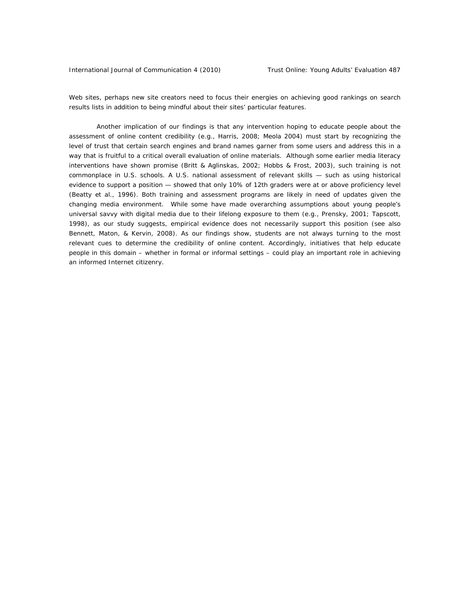Web sites, perhaps new site creators need to focus their energies on achieving good rankings on search results lists in addition to being mindful about their sites' particular features.

Another implication of our findings is that any intervention hoping to educate people about the assessment of online content credibility (e.g., Harris, 2008; Meola 2004) must start by recognizing the level of trust that certain search engines and brand names garner from some users and address this in a way that is fruitful to a critical overall evaluation of online materials. Although some earlier media literacy interventions have shown promise (Britt & Aglinskas, 2002; Hobbs & Frost, 2003), such training is not commonplace in U.S. schools. A U.S. national assessment of relevant skills — such as using historical evidence to support a position — showed that only 10% of 12th graders were at or above proficiency level (Beatty et al., 1996). Both training and assessment programs are likely in need of updates given the changing media environment. While some have made overarching assumptions about young people's universal savvy with digital media due to their lifelong exposure to them (e.g., Prensky, 2001; Tapscott, 1998), as our study suggests, empirical evidence does not necessarily support this position (see also Bennett, Maton, & Kervin, 2008). As our findings show, students are not always turning to the most relevant cues to determine the credibility of online content. Accordingly, initiatives that help educate people in this domain – whether in formal or informal settings – could play an important role in achieving an informed Internet citizenry.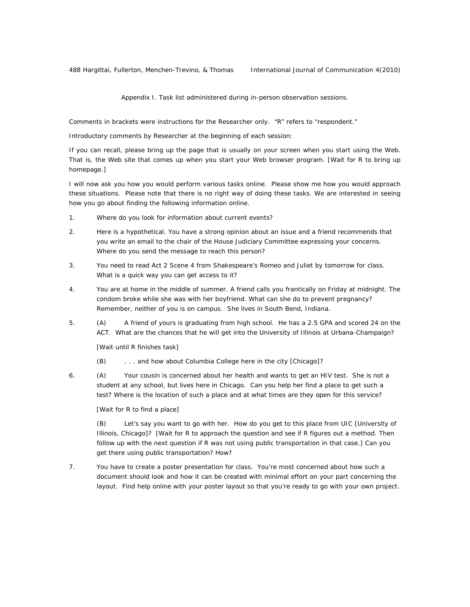Appendix I. Task list administered during in-person observation sessions.

*Comments in brackets were instructions for the Researcher only. "R" refers to "respondent."* 

*Introductory comments by Researcher at the beginning of each session:* 

If you can recall, please bring up the page that is usually on your screen when you start using the Web. That is, the Web site that comes up when you start your Web browser program. [Wait for R to bring up homepage.]

I will now ask you how you would perform various tasks online. Please show me how you would approach these situations. Please note that there is no right way of doing these tasks. We are interested in seeing how you go about finding the following information online.

- 1. Where do you look for information about current events?
- 2. Here is a hypothetical. You have a strong opinion about an issue and a friend recommends that you write an email to the chair of the House Judiciary Committee expressing your concerns. Where do you send the message to reach this person?
- 3. You need to read Act 2 Scene 4 from Shakespeare's Romeo and Juliet by tomorrow for class. What is a quick way you can get access to it?
- 4. You are at home in the middle of summer. A friend calls you frantically on Friday at midnight. The condom broke while she was with her boyfriend. What can she do to prevent pregnancy? Remember, neither of you is on campus. She lives in South Bend, Indiana.
- 5. (A) A friend of yours is graduating from high school. He has a 2.5 GPA and scored 24 on the ACT. What are the chances that he will get into the University of Illinois at Urbana-Champaign?

[Wait until R finishes task]

- (B) . . . and how about Columbia College here in the city [Chicago]?
- 6. (A) Your cousin is concerned about her health and wants to get an HIV test. She is not a student at any school, but lives here in Chicago. Can you help her find a place to get such a test? Where is the location of such a place and at what times are they open for this service?

[Wait for R to find a place]

(B) Let's say you want to go with her. How do you get to this place from UIC [University of Illinois, Chicago]? [Wait for R to approach the question and see if R figures out a method. Then follow up with the next question if R was not using public transportation in that case.] Can you get there using public transportation? How?

7. You have to create a poster presentation for class. You're most concerned about how such a document should look and how it can be created with minimal effort on your part concerning the layout. Find help online with your poster layout so that you're ready to go with your own project.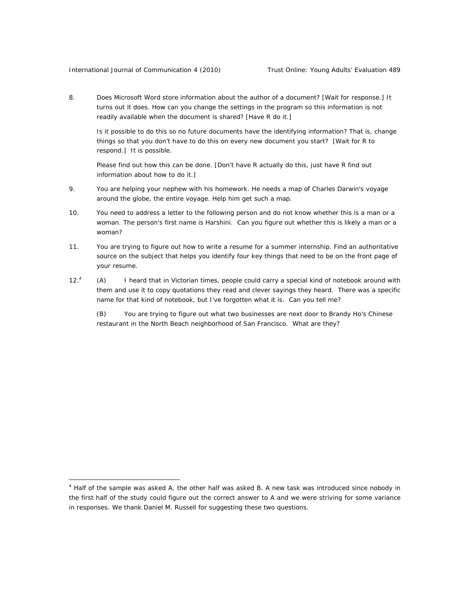$\overline{a}$ 

8. Does Microsoft Word store information about the author of a document? [Wait for response.] It turns out it does. How can you change the settings in the program so this information is not readily available when the document is shared? [Have R do it.]

Is it possible to do this so no future documents have the identifying information? That is, change things so that you don't have to do this on every new document you start? [Wait for R to respond.] It is possible.

Please find out how this can be done. [Don't have R actually do this, just have R find out information about how to do it.]

- 9. You are helping your nephew with his homework. He needs a map of Charles Darwin's voyage around the globe, the entire voyage. Help him get such a map.
- 10. You need to address a letter to the following person and do not know whether this is a man or a woman. The person's first name is Harshini. Can you figure out whether this is likely a man or a woman?
- 11. You are trying to figure out how to write a resume for a summer internship. Find an authoritative source on the subject that helps you identify four key things that need to be on the front page of your resume.
- $12.<sup>4</sup>$  (A) I heard that in Victorian times, people could carry a special kind of notebook around with them and use it to copy quotations they read and clever sayings they heard. There was a specific name for that kind of notebook, but I've forgotten what it is. Can you tell me?

(B) You are trying to figure out what two businesses are next door to Brandy Ho's Chinese restaurant in the North Beach neighborhood of San Francisco. What are they?

<sup>&</sup>lt;sup>4</sup> Half of the sample was asked A, the other half was asked B. A new task was introduced since nobody in the first half of the study could figure out the correct answer to A and we were striving for some variance in responses. We thank Daniel M. Russell for suggesting these two questions.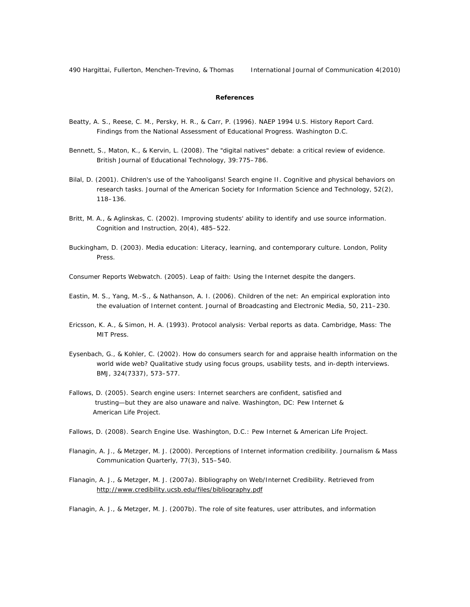# **References**

- Beatty, A. S., Reese, C. M., Persky, H. R., & Carr, P. (1996). NAEP 1994 U.S. History Report Card. Findings from the National Assessment of Educational Progress. Washington D.C.
- Bennett, S., Maton, K., & Kervin, L. (2008). The "digital natives" debate: a critical review of evidence. *British Journal of Educational Technology*, *39*:775–786.
- Bilal, D. (2001). Children's use of the Yahooligans! Search engine II. Cognitive and physical behaviors on research tasks. *Journal of the American Society for Information Science and* Technology, *52*(2), 118–136.
- Britt, M. A., & Aglinskas, C. (2002). Improving students' ability to identify and use source information. *Cognition and Instruction*, *20*(4), 485–522.
- Buckingham, D. (2003). Media education: Literacy, learning, and contemporary culture. London, Polity Press.
- Consumer Reports Webwatch. (2005). Leap of faith: Using the Internet despite the dangers.
- Eastin, M. S., Yang, M.-S., & Nathanson, A. I. (2006). Children of the net: An empirical exploration into the evaluation of Internet content. *Journal of Broadcasting and Electronic Media*, *50*, 211–230.
- Ericsson, K. A., & Simon, H. A. (1993). Protocol analysis: Verbal reports as data. Cambridge, Mass: The MIT Press.
- Eysenbach, G., & Kohler, C. (2002). How do consumers search for and appraise health information on the world wide web? Qualitative study using focus groups, usability tests, and in-depth interviews. *BMJ*, *324*(7337), 573–577.
- Fallows, D. (2005). Search engine users: Internet searchers are confident, satisfied and trusting—but they are also unaware and naïve. Washington, DC: Pew Internet & American Life Project.
- Fallows, D. (2008). Search Engine Use. Washington, D.C.: Pew Internet & American Life Project.
- Flanagin, A. J., & Metzger, M. J. (2000). Perceptions of Internet information credibility. *Journalism & Mass Communication Quarterly*, *77*(3), 515–540.
- Flanagin, A. J., & Metzger, M. J. (2007a). Bibliography on Web/Internet Credibility. Retrieved from http://www.credibility.ucsb.edu/files/bibliography.pdf

Flanagin, A. J., & Metzger, M. J. (2007b). The role of site features, user attributes, and information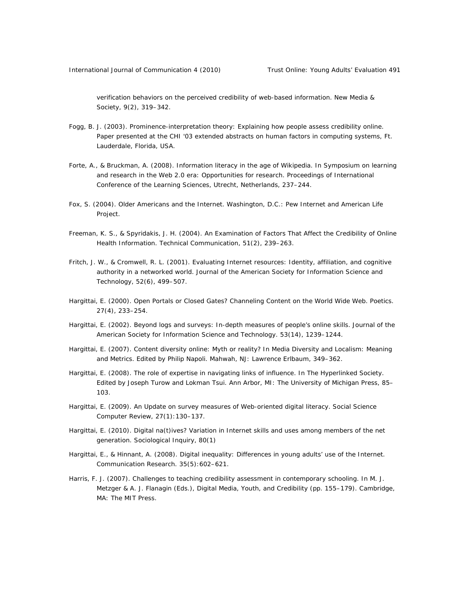verification behaviors on the perceived credibility of web-based information. *New Media & Society*, *9*(2), 319–342.

- Fogg, B. J. (2003). Prominence-interpretation theory: Explaining how people assess credibility online. Paper presented at the CHI '03 extended abstracts on human factors in computing systems, Ft. Lauderdale, Florida, USA.
- Forte, A., & Bruckman, A. (2008). Information literacy in the age of Wikipedia. In Symposium on learning and research in the Web 2.0 era: Opportunities for research. Proceedings of International Conference of the Learning Sciences, Utrecht, Netherlands, 237–244.
- Fox, S. (2004). Older Americans and the Internet. Washington, D.C.: Pew Internet and American Life Project.
- Freeman, K. S., & Spyridakis, J. H. (2004). An Examination of Factors That Affect the Credibility of Online Health Information. Technical Communication, 51(2), 239–263.
- Fritch, J. W., & Cromwell, R. L. (2001). Evaluating Internet resources: Identity, affiliation, and cognitive authority in a networked world. *Journal of the American Society for Information Science and Technology, 52*(6), 499–507.
- Hargittai, E. (2000). Open Portals or Closed Gates? Channeling Content on the World Wide Web. *Poetics*. *27*(4), 233–254.
- Hargittai, E. (2002). Beyond logs and surveys: In-depth measures of people's online skills. *Journal of the American Society for Information Science and Technology. 53*(14), 1239–1244.
- Hargittai, E. (2007). Content diversity online: Myth or reality? In Media Diversity and Localism: Meaning and Metrics. Edited by Philip Napoli. Mahwah, NJ: Lawrence Erlbaum, 349–362.
- Hargittai, E. (2008). The role of expertise in navigating links of influence. In The Hyperlinked Society. Edited by Joseph Turow and Lokman Tsui. Ann Arbor, MI: The University of Michigan Press, 85– 103.
- Hargittai, E. (2009). An Update on survey measures of Web-oriented digital literacy. *Social Science Computer Review, 27*(1):130–137.
- Hargittai, E. (2010). Digital na(t)ives? Variation in Internet skills and uses among members of the net generation. *Sociological Inquiry, 80*(1)
- Hargittai, E., & Hinnant, A. (2008). Digital inequality: Differences in young adults' use of the Internet. *Communication Research*. *35*(5):602–621.
- Harris, F. J. (2007). Challenges to teaching credibility assessment in contemporary schooling. In M. J. Metzger & A. J. Flanagin (Eds.), Digital Media, Youth, and Credibility (pp. 155–179). Cambridge, MA: The MIT Press.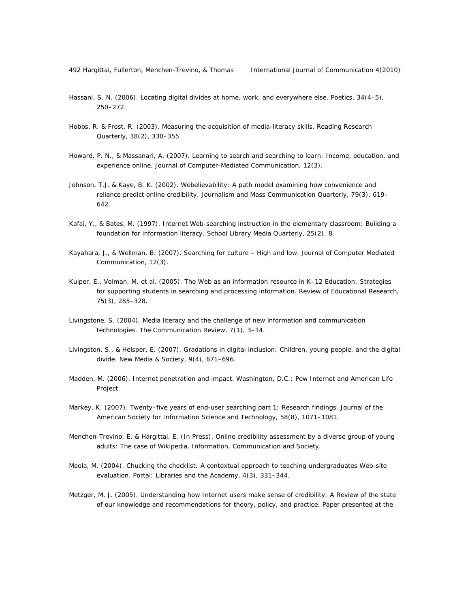- Hassani, S. N. (2006). Locating digital divides at home, work, and everywhere else. *Poetics, 34*(4–5), 250–272.
- Hobbs, R. & Frost, R. (2003). Measuring the acquisition of media-literacy skills. *Reading Research Quarterly*, 38(2), 330–355.
- Howard, P. N., & Massanari, A. (2007). Learning to search and searching to learn: Income, education, and experience online. *Journal of Computer-Mediated Communication, 12*(3).
- Johnson, T.J. & Kaye, B. K. (2002). Webelievability: A path model examining how convenience and reliance predict online credibility. *Journalism and Mass Communication Quarterly*, 79(3), 619– 642.
- Kafai, Y., & Bates, M. (1997). Internet Web-searching instruction in the elementary classroom: Building a foundation for information literacy. *School Library Media Quarterly*, *25*(2), 8.
- Kayahara, J., & Wellman, B. (2007). Searching for culture High and low. *Journal of Computer Mediated Communication*, *12*(3).
- Kuiper, E., Volman, M. et al. (2005). The Web as an information resource in K–12 Education: Strategies for supporting students in searching and processing information. *Review of Educational Research, 75*(3), 285–328.
- Livingstone, S. (2004). Media literacy and the challenge of new information and communication technologies. *The Communication Review*, *7*(1), 3–14.
- Livingston, S., & Helsper, E. (2007). Gradations in digital inclusion: Children, young people, and the digital divide. *New Media & Society, 9*(4), 671–696.
- Madden, M. (2006). Internet penetration and impact. Washington, D.C.: Pew Internet and American Life Project.
- Markey, K. (2007). Twenty–five years of end-user searching part 1: Research findings. *Journal of the American Society for Information Science and Technology, 58*(8), 1071–1081.
- Menchen-Trevino, E. & Hargittai, E. (In Press). Online credibility assessment by a diverse group of young adults: The case of Wikipedia. *Information, Communication and Society.*
- Meola, M. (2004). Chucking the checklist: A contextual approach to teaching undergraduates Web-site evaluation. *Portal: Libraries and the Academy, 4*(3), 331–344.
- Metzger, M. J. (2005). Understanding how Internet users make sense of credibility: A Review of the state of our knowledge and recommendations for theory, policy, and practice. Paper presented at the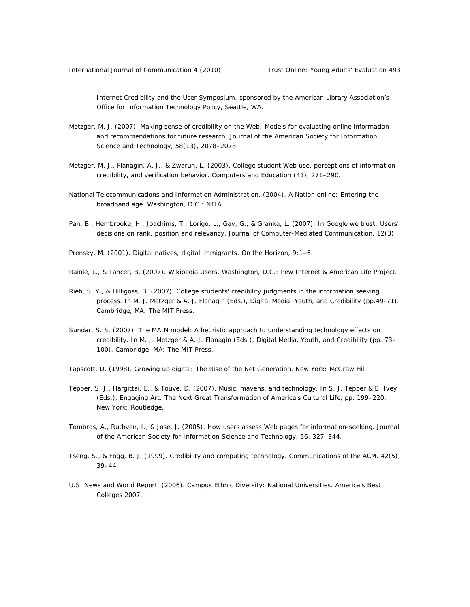Internet Credibility and the User Symposium, sponsored by the American Library Association's Office for Information Technology Policy, Seattle, WA.

- Metzger, M. J. (2007). Making sense of credibility on the Web: Models for evaluating online information and recommendations for future research. *Journal of the American Society for Information Science and Technology, 58(*13), 2078–2078.
- Metzger, M. J., Flanagin, A. J., & Zwarun, L. (2003). College student Web use, perceptions of information credibility, and verification behavior. *Computers and Education (41),* 271–290.
- National Telecommunications and Information Administration. (2004). A Nation online: Entering the broadband age. Washington, D.C.: NTIA.
- Pan, B., Hembrooke, H., Joachims, T., Lorigo, L., Gay, G., & Granka, L. (2007). In Google we trust: Users' decisions on rank, position and relevancy. *Journal of Computer-Mediated Communication, 12*(3).
- Prensky, M. (2001). Digital natives, digital immigrants. *On the Horizon, 9*:1–6.
- Rainie, L., & Tancer, B. (2007). Wikipedia Users. Washington, D.C.: Pew Internet & American Life Project.
- Rieh, S. Y., & Hilligoss, B. (2007). College students' credibility judgments in the information seeking process. In M. J. Metzger & A. J. Flanagin (Eds.), Digital Media, Youth, and Credibility (pp.49-71). Cambridge, MA: The MIT Press.
- Sundar, S. S. (2007). The MAIN model: A heuristic approach to understanding technology effects on credibility. In M. J. Metzger & A. J. Flanagin (Eds.), Digital Media, Youth, and Credibility (pp. 73– 100). Cambridge, MA: The MIT Press.
- Tapscott, D. (1998). Growing up digital: The Rise of the Net Generation. New York: McGraw Hill.
- Tepper, S. J., Hargittai, E., & Touve, D. (2007). Music, mavens, and technology. In S. J. Tepper & B. Ivey (Eds.), Engaging Art: The Next Great Transformation of America's Cultural Life, pp. 199–220, New York: Routledge.
- Tombros, A., Ruthven, I., & Jose, J. (2005). How users assess Web pages for information-seeking. *Journal of the American Society for Information Science and Technology*, *56*, 327–344.
- Tseng, S., & Fogg, B. J. (1999). Credibility and computing technology. *Communications of the ACM*, 42(5), 39–44.
- *U.S. News and World Report*. (2006). Campus Ethnic Diversity: National Universities. America's Best Colleges 2007.